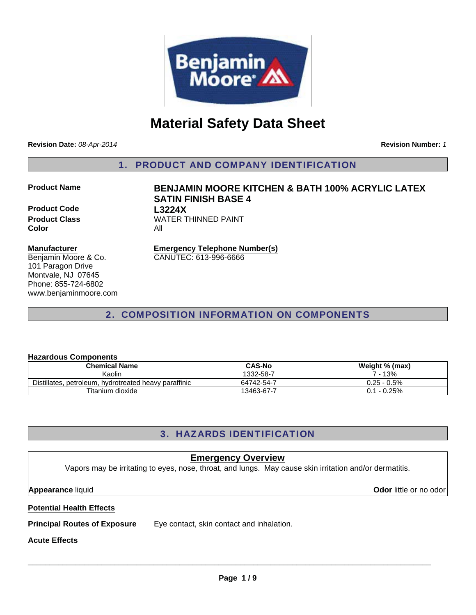

# **Material Safety Data Sheet**

**Revision Date:** *08-Apr-2014*

**Revision Number:** *1*

1. PRODUCT AND COMPANY IDENTIFICATION

**Product Code L3224X Color** All

# **Product Name BENJAMIN MOORE KITCHEN & BATH 100% ACRYLIC LATEX SATIN FINISH BASE 4 Product Class WATER THINNED PAINT**

#### **Manufacturer**

Benjamin Moore & Co. 101 Paragon Drive Montvale, NJ 07645 Phone: 855-724-6802 www.benjaminmoore.com **Emergency Telephone Number(s)** CANUTEC: 613-996-6666

# 2. COMPOSITION INFORMATION ON COMPONENTS

### **Hazardous Components**

| <b>Chemical Name</b>                                  | <b>CAS-No</b> | Weight % (max) |
|-------------------------------------------------------|---------------|----------------|
| Kaolin                                                | 1332-58-7     | 7 - 13%        |
| Distillates, petroleum, hydrotreated heavy paraffinic | 64742-54-7    | 0.25 - 0.5%    |
| Titanium dioxide                                      | 13463-67-7    | 0.1 - 0.25%    |

# 3. HAZARDS IDENTIFICATION

# **Potential Health Effects Principal Routes of Exposure** Eye contact, skin contact and inhalation. Vapors may be irritating to eyes, nose, throat, and lungs. May cause skin irritation and/or dermatitis. **Emergency Overview Appearance** liquid **Odor** little or no odor

### **Acute Effects**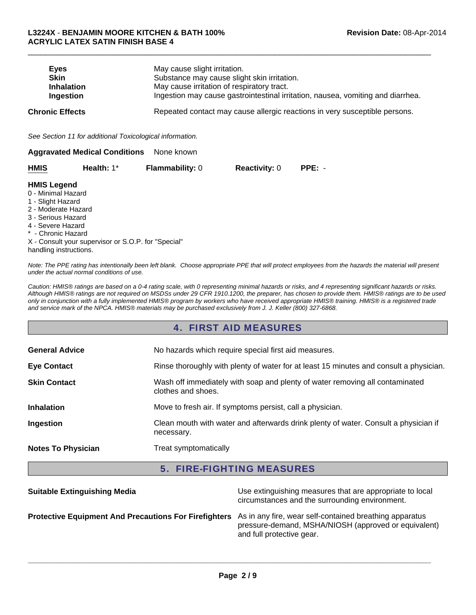| <b>Eves</b>       | May cause slight irritation.                                                    |
|-------------------|---------------------------------------------------------------------------------|
| <b>Skin</b>       | Substance may cause slight skin irritation.                                     |
| <b>Inhalation</b> | May cause irritation of respiratory tract.                                      |
| Ingestion         | Ingestion may cause gastrointestinal irritation, nausea, vomiting and diarrhea. |
| Chronic Effects   | Repeated contact may cause allergic reactions in very susceptible persons.      |

 $\Box$ 

*See Section 11 for additional Toxicological information.*

| <b>Aggravated Medical Conditions</b> None known |  |
|-------------------------------------------------|--|
|                                                 |  |

| <b>HMIS</b> | Health: 1* | <b>Flammability: 0</b> | <b>Reactivity: 0</b> | PPE: - |
|-------------|------------|------------------------|----------------------|--------|
|-------------|------------|------------------------|----------------------|--------|

#### **HMIS Legend**

- 0 Minimal Hazard
- 1 Slight Hazard
- 2 Moderate Hazard
- 3 Serious Hazard
- 4 Severe Hazard
- \* Chronic Hazard

X - Consult your supervisor or S.O.P. for "Special" handling instructions.

*Note: The PPE rating has intentionally been left blank. Choose appropriate PPE that will protect employees from the hazards the material will present under the actual normal conditions of use.*

*Caution: HMIS® ratings are based on a 0-4 rating scale, with 0 representing minimal hazards or risks, and 4 representing significant hazards or risks. Although HMIS® ratings are not required on MSDSs under 29 CFR 1910.1200, the preparer, has chosen to provide them. HMIS® ratings are to be used only in conjunction with a fully implemented HMIS® program by workers who have received appropriate HMIS® training. HMIS® is a registered trade and service mark of the NPCA. HMIS® materials may be purchased exclusively from J. J. Keller (800) 327-6868.*

## 4. FIRST AID MEASURES

| <b>General Advice</b>     | No hazards which require special first aid measures.                                               |  |
|---------------------------|----------------------------------------------------------------------------------------------------|--|
| <b>Eye Contact</b>        | Rinse thoroughly with plenty of water for at least 15 minutes and consult a physician.             |  |
| <b>Skin Contact</b>       | Wash off immediately with soap and plenty of water removing all contaminated<br>clothes and shoes. |  |
| <b>Inhalation</b>         | Move to fresh air. If symptoms persist, call a physician.                                          |  |
| Ingestion                 | Clean mouth with water and afterwards drink plenty of water. Consult a physician if<br>necessary.  |  |
| <b>Notes To Physician</b> | Treat symptomatically                                                                              |  |

5. FIRE-FIGHTING MEASURES

| <b>Suitable Extinguishing Media</b>                                                                           | Use extinguishing measures that are appropriate to local<br>circumstances and the surrounding environment. |
|---------------------------------------------------------------------------------------------------------------|------------------------------------------------------------------------------------------------------------|
| Protective Equipment And Precautions For Firefighters As in any fire, wear self-contained breathing apparatus | pressure-demand, MSHA/NIOSH (approved or equivalent)<br>and full protective gear.                          |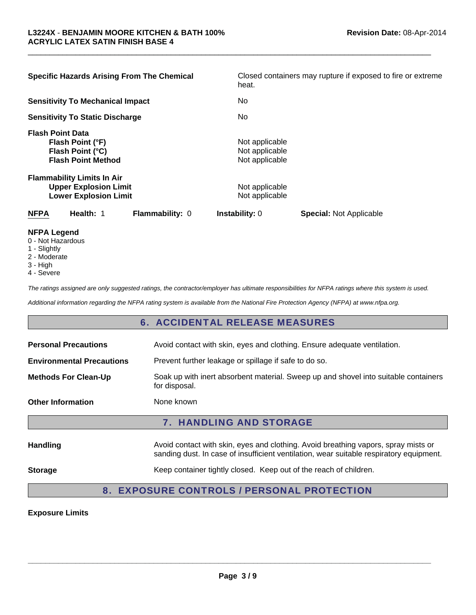| <b>Specific Hazards Arising From The Chemical</b>                                                 | Closed containers may rupture if exposed to fire or extreme<br>heat. |  |
|---------------------------------------------------------------------------------------------------|----------------------------------------------------------------------|--|
| <b>Sensitivity To Mechanical Impact</b>                                                           | No.                                                                  |  |
| <b>Sensitivity To Static Discharge</b>                                                            | No.                                                                  |  |
| <b>Flash Point Data</b><br>Flash Point (°F)<br>Flash Point (°C)<br><b>Flash Point Method</b>      | Not applicable<br>Not applicable<br>Not applicable                   |  |
| <b>Flammability Limits In Air</b><br><b>Upper Explosion Limit</b><br><b>Lower Explosion Limit</b> | Not applicable<br>Not applicable                                     |  |
| Health: 1<br><b>NFPA</b><br><b>Flammability: 0</b>                                                | <b>Instability: 0</b><br><b>Special: Not Applicable</b>              |  |

 $\Box$ 

#### **NFPA Legend**

- 0 Not Hazardous
- 1 Slightly
- 2 Moderate
- 3 High
- 4 Severe

*The ratings assigned are only suggested ratings, the contractor/employer has ultimate responsibilities for NFPA ratings where this system is used.*

*Additional information regarding the NFPA rating system is available from the National Fire Protection Agency (NFPA) at www.nfpa.org.*

### 6. ACCIDENTAL RELEASE MEASURES

| <b>Personal Precautions</b>      | Avoid contact with skin, eyes and clothing. Ensure adequate ventilation.                                                                                                      |  |
|----------------------------------|-------------------------------------------------------------------------------------------------------------------------------------------------------------------------------|--|
| <b>Environmental Precautions</b> | Prevent further leakage or spillage if safe to do so.                                                                                                                         |  |
| <b>Methods For Clean-Up</b>      | Soak up with inert absorbent material. Sweep up and shovel into suitable containers<br>for disposal.                                                                          |  |
| <b>Other Information</b>         | None known                                                                                                                                                                    |  |
|                                  |                                                                                                                                                                               |  |
|                                  | <b>7. HANDLING AND STORAGE</b>                                                                                                                                                |  |
| Handling                         | Avoid contact with skin, eyes and clothing. Avoid breathing vapors, spray mists or<br>sanding dust. In case of insufficient ventilation, wear suitable respiratory equipment. |  |

### 8. EXPOSURE CONTROLS / PERSONAL PROTECTION

#### **Exposure Limits**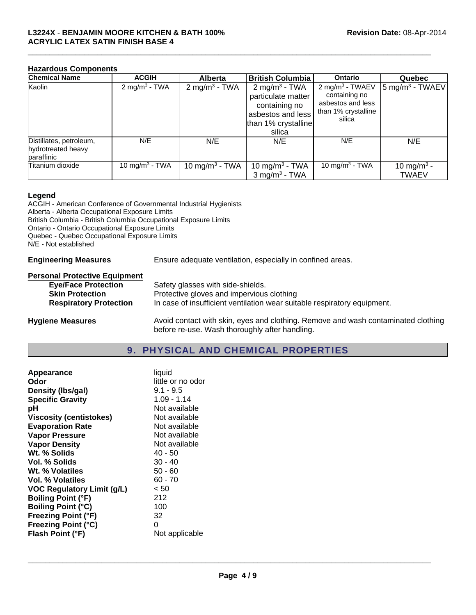#### **Hazardous Components**

| <b>Chemical Name</b>                                        | <b>ACGIH</b>               | <b>Alberta</b>             | <b>British Columbia</b>                                                                                                | <b>Ontario</b>                                                                                     | <b>Quebec</b>                          |
|-------------------------------------------------------------|----------------------------|----------------------------|------------------------------------------------------------------------------------------------------------------------|----------------------------------------------------------------------------------------------------|----------------------------------------|
| Kaolin                                                      | $2 \text{ mg/m}^3$ - TWA   | 2 mg/m <sup>3</sup> - TWA  | 2 mg/m <sup>3</sup> - TWA<br>particulate matter<br>containing no<br>asbestos and less<br>than 1% crystalline<br>silica | 2 mg/m <sup>3</sup> - TWAEV<br>containing no<br>asbestos and less<br>than 1% crystalline<br>silica | $5 \text{ mg/m}^3$ - TWAEV             |
| Distillates, petroleum,<br>hydrotreated heavy<br>paraffinic | N/E                        | N/E                        | N/E                                                                                                                    | N/E                                                                                                | N/E                                    |
| Titanium dioxide                                            | 10 mg/m <sup>3</sup> - TWA | 10 mg/m <sup>3</sup> - TWA | 10 mg/m <sup>3</sup> - TWA<br>$3$ mg/m <sup>3</sup> - TWA                                                              | 10 mg/m <sup>3</sup> - TWA                                                                         | 10 mg/m <sup>3</sup> -<br><b>TWAEV</b> |

 $\Box$ 

#### **Legend**

ACGIH - American Conference of Governmental Industrial Hygienists Alberta - Alberta Occupational Exposure Limits British Columbia - British Columbia Occupational Exposure Limits Ontario - Ontario Occupational Exposure Limits Quebec - Quebec Occupational Exposure Limits N/E - Not established

**Engineering Measures** Ensure adequate ventilation, especially in confined areas.

#### **Personal Protective Equipment**

| <b>Eye/Face Protection</b>    | Safety glasses with side-shields.                                        |
|-------------------------------|--------------------------------------------------------------------------|
| <b>Skin Protection</b>        | Protective gloves and impervious clothing                                |
| <b>Respiratory Protection</b> | In case of insufficient ventilation wear suitable respiratory equipment. |
|                               |                                                                          |

Hygiene Measures **Avoid contact with skin, eyes and clothing. Remove and wash contaminated clothing** before re-use. Wash thoroughly after handling.

# 9. PHYSICAL AND CHEMICAL PROPERTIES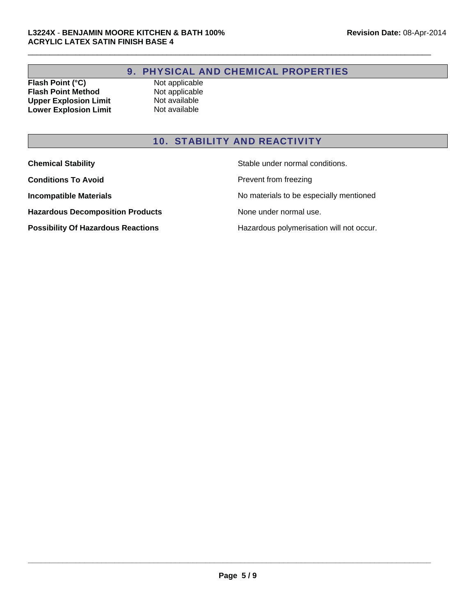# 9. PHYSICAL AND CHEMICAL PROPERTIES

 $\Box$ 

**Flash Point (°C)** Not applicable<br> **Flash Point Method** Not applicable<br>
Upper Explosion Limit Not available **Flash Point Method Upper Explosion Limit** Not available<br> **Lower Explosion Limit** Not available **Lower Explosion Limit** 

# 10. STABILITY AND REACTIVITY

| <b>Chemical Stability</b>                 | Stable under normal conditions.          |
|-------------------------------------------|------------------------------------------|
| <b>Conditions To Avoid</b>                | Prevent from freezing                    |
| <b>Incompatible Materials</b>             | No materials to be especially mentioned  |
| <b>Hazardous Decomposition Products</b>   | None under normal use.                   |
| <b>Possibility Of Hazardous Reactions</b> | Hazardous polymerisation will not occur. |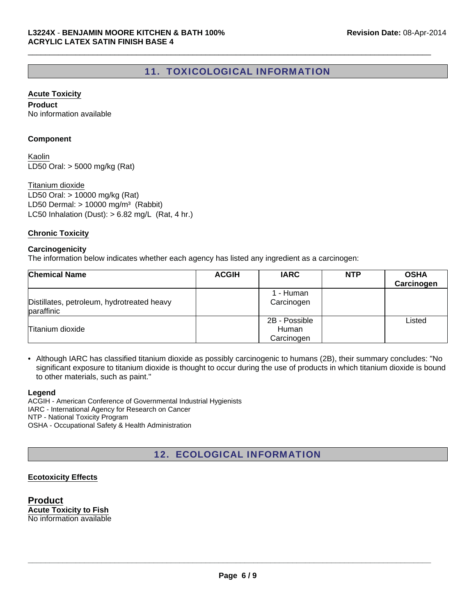# 11. TOXICOLOGICAL INFORMATION

 $\Box$ 

#### **Acute Toxicity**

**Product** No information available

#### **Component**

LD50 Oral: > 5000 mg/kg (Rat) Kaolin

LC50 Inhalation (Dust):  $> 6.82$  mg/L (Rat, 4 hr.) Titanium dioxide LD50 Oral: > 10000 mg/kg (Rat) LD50 Dermal:  $> 10000$  mg/m<sup>3</sup> (Rabbit)

#### **Chronic Toxicity**

#### **Carcinogenicity**

The information below indicates whether each agency has listed any ingredient as a carcinogen:

| <b>Chemical Name</b>                                     | <b>ACGIH</b> | <b>IARC</b>                          | <b>NTP</b> | <b>OSHA</b><br>Carcinogen |
|----------------------------------------------------------|--------------|--------------------------------------|------------|---------------------------|
| Distillates, petroleum, hydrotreated heavy<br>paraffinic |              | 1 - Human<br>Carcinogen              |            |                           |
| Titanium dioxide                                         |              | 2B - Possible<br>Human<br>Carcinogen |            | Listed                    |

• Although IARC has classified titanium dioxide as possibly carcinogenic to humans (2B), their summary concludes: "No significant exposure to titanium dioxide is thought to occur during the use of products in which titanium dioxide is bound to other materials, such as paint."

#### **Legend**

ACGIH - American Conference of Governmental Industrial Hygienists IARC - International Agency for Research on Cancer NTP - National Toxicity Program OSHA - Occupational Safety & Health Administration

12. ECOLOGICAL INFORMATION

#### **Ecotoxicity Effects**

**Product Acute Toxicity to Fish** No information available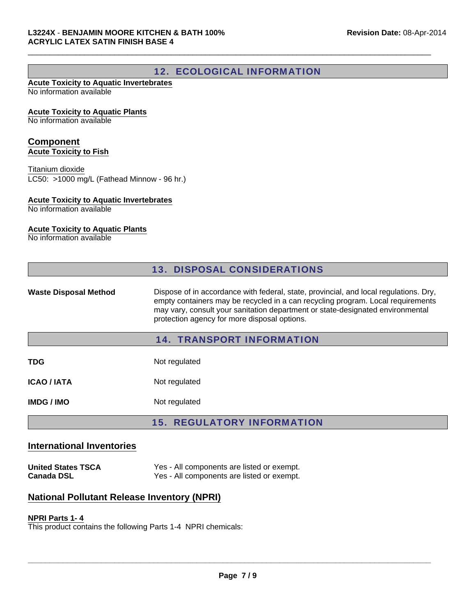# 12. ECOLOGICAL INFORMATION

 $\Box$ 

#### **Acute Toxicity to Aquatic Invertebrates** No information available

#### **Acute Toxicity to Aquatic Plants**

No information available

#### **Component Acute Toxicity to Fish**

Titanium dioxide

LC50: >1000 mg/L (Fathead Minnow - 96 hr.)

#### **Acute Toxicity to Aquatic Invertebrates**

No information available

#### **Acute Toxicity to Aquatic Plants**

No information available

|                              | <b>13. DISPOSAL CONSIDERATIONS</b>                                                                                                                                                                                                                                                                         |
|------------------------------|------------------------------------------------------------------------------------------------------------------------------------------------------------------------------------------------------------------------------------------------------------------------------------------------------------|
| <b>Waste Disposal Method</b> | Dispose of in accordance with federal, state, provincial, and local regulations. Dry,<br>empty containers may be recycled in a can recycling program. Local requirements<br>may vary, consult your sanitation department or state-designated environmental<br>protection agency for more disposal options. |
|                              | <b>14. TRANSPORT INFORMATION</b>                                                                                                                                                                                                                                                                           |
| TDG                          | Not regulated                                                                                                                                                                                                                                                                                              |
| <b>ICAO / IATA</b>           | Not regulated                                                                                                                                                                                                                                                                                              |
| <b>IMDG/IMO</b>              | Not regulated                                                                                                                                                                                                                                                                                              |
|                              | <b>15. REGULATORY INFORMATION</b>                                                                                                                                                                                                                                                                          |

#### **International Inventories**

**United States TSCA** Yes - All components are listed or exempt.<br>Canada DSL Yes - All components are listed or exempt. Yes - All components are listed or exempt.

## **National Pollutant Release Inventory (NPRI)**

#### **NPRI Parts 1- 4**

This product contains the following Parts 1-4 NPRI chemicals: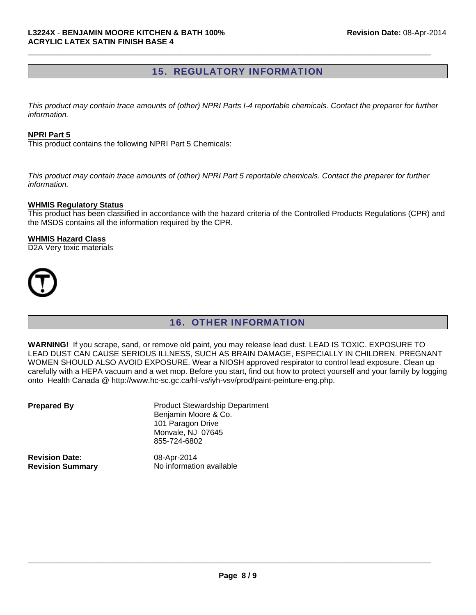## 15. REGULATORY INFORMATION

 $\Box$ 

*This product may contain trace amounts of (other) NPRI Parts I-4 reportable chemicals. Contact the preparer for further information.*

#### **NPRI Part 5**

This product contains the following NPRI Part 5 Chemicals:

*This product may contain trace amounts of (other) NPRI Part 5 reportable chemicals. Contact the preparer for further information.*

#### **WHMIS Regulatory Status**

This product has been classified in accordance with the hazard criteria of the Controlled Products Regulations (CPR) and the MSDS contains all the information required by the CPR.

#### **WHMIS Hazard Class**

D2A Very toxic materials



# 16. OTHER INFORMATION

**WARNING!** If you scrape, sand, or remove old paint, you may release lead dust. LEAD IS TOXIC. EXPOSURE TO LEAD DUST CAN CAUSE SERIOUS ILLNESS, SUCH AS BRAIN DAMAGE, ESPECIALLY IN CHILDREN. PREGNANT WOMEN SHOULD ALSO AVOID EXPOSURE. Wear a NIOSH approved respirator to control lead exposure. Clean up carefully with a HEPA vacuum and a wet mop. Before you start, find out how to protect yourself and your family by logging onto Health Canada @ http://www.hc-sc.gc.ca/hl-vs/iyh-vsv/prod/paint-peinture-eng.php.

| <b>Prepared By</b>      | <b>Product Stewardship Department</b><br>Benjamin Moore & Co.<br>101 Paragon Drive<br>Monvale, NJ 07645<br>855-724-6802 |
|-------------------------|-------------------------------------------------------------------------------------------------------------------------|
| <b>Revision Date:</b>   | 08-Apr-2014                                                                                                             |
| <b>Revision Summary</b> | No information available                                                                                                |